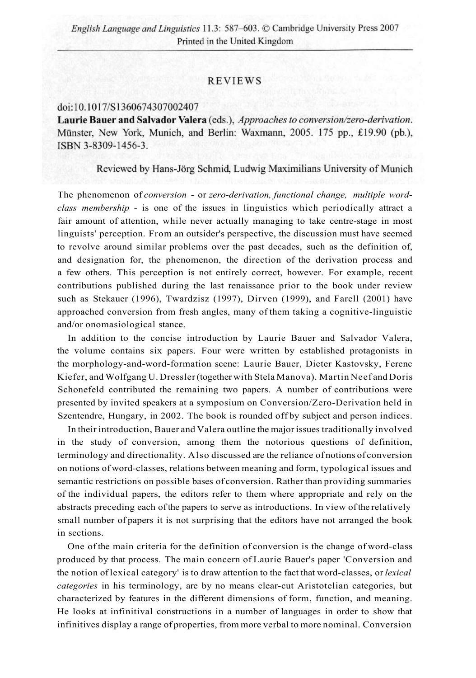## **REVIEWS**

## doi:10.1017/S1360674307002407

Laurie Bauer and Salvador Valera (eds.), Approaches to conversion/zero-derivation. Münster, New York, Munich, and Berlin: Waxmann, 2005. 175 pp., £19.90 (pb.), ISBN 3-8309-1456-3.

## Reviewed by Hans-Jörg Schmid, Ludwig Maximilians University of Munich

The phenomenon of *conversion -* or *zero-derivation, functional change, multiple wordclass membership -* is one of the issues in linguistics which periodically attract a fair amount of attention, while never actually managing to take centre-stage in most linguists' perception. From an outsider's perspective, the discussion must have seemed to revolve around similar problems over the past decades, such as the definition of, and designation for, the phenomenon, the direction of the derivation process and a few others. This perception is not entirely correct, however. For example, recent contributions published during the last renaissance prior to the book under review such as Stekauer (1996), Twardzisz (1997), Dirven (1999), and Farell (2001) have approached conversion from fresh angles, many of them taking a cognitive-linguistic and/or onomasiological stance.

In addition to the concise introduction by Laurie Bauer and Salvador Valera, the volume contains six papers. Four were written by established protagonists in the morphology-and-word-formation scene: Laurie Bauer, Dieter Kastovsky, Ferenc Kiefer, and Wolfgang U. Dressler (together with Stela Manova). Martin Neef and Doris Schonefeld contributed the remaining two papers. A number of contributions were presented by invited speakers at a symposium on Conversion/Zero-Derivation held in Szentendre, Hungary, in 2002. The book is rounded off by subject and person indices.

In their introduction, Bauer and Valera outline the major issues traditionally involved in the study of conversion, among them the notorious questions of definition, terminology and directionality. Also discussed are the reliance of notions of conversion on notions of word-classes, relations between meaning and form, typological issues and semantic restrictions on possible bases of conversion. Rather than providing summaries of the individual papers, the editors refer to them where appropriate and rely on the abstracts preceding each of the papers to serve as introductions. In view of the relatively small number of papers it is not surprising that the editors have not arranged the book in sections.

One of the main criteria for the definition of conversion is the change of word-class produced by that process. The main concern of Laurie Bauer's paper 'Conversion and the notion of lexical category' is to draw attention to the fact that word-classes, or *lexical categories* in his terminology, are by no means clear-cut Aristotelian categories, but characterized by features in the different dimensions of form, function, and meaning. He looks at infinitival constructions in a number of languages in order to show that infinitives display a range of properties, from more verbal to more nominal. Conversion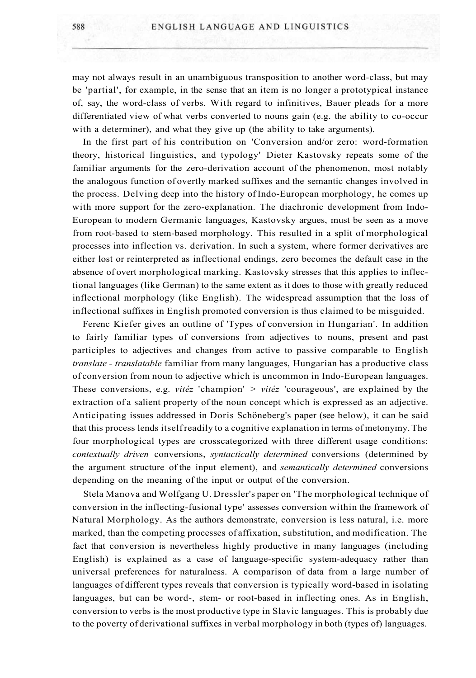may not always result in an unambiguous transposition to another word-class, but may be 'partial', for example, in the sense that an item is no longer a prototypical instance of, say, the word-class of verbs. With regard to infinitives, Bauer pleads for a more differentiated view of what verbs converted to nouns gain (e.g. the ability to co-occur with a determiner), and what they give up (the ability to take arguments).

In the first part of his contribution on 'Conversion and/or zero: word-formation theory, historical linguistics, and typology' Dieter Kastovsky repeats some of the familiar arguments for the zero-derivation account of the phenomenon, most notably the analogous function of overtly marked suffixes and the semantic changes involved in the process. Delving deep into the history of Indo-European morphology, he comes up with more support for the zero-explanation. The diachronic development from Indo-European to modern Germanic languages, Kastovsky argues, must be seen as a move from root-based to stem-based morphology. This resulted in a split of morphological processes into inflection vs. derivation. In such a system, where former derivatives are either lost or reinterpreted as inflectional endings, zero becomes the default case in the absence of overt morphological marking. Kastovsky stresses that this applies to inflectional languages (like German) to the same extent as it does to those with greatly reduced inflectional morphology (like English). The widespread assumption that the loss of inflectional suffixes in English promoted conversion is thus claimed to be misguided.

Ferenc Kiefer gives an outline of 'Types of conversion in Hungarian'. In addition to fairly familiar types of conversions from adjectives to nouns, present and past participles to adjectives and changes from active to passive comparable to English *translate - translatable* familiar from many languages, Hungarian has a productive class of conversion from noun to adjective which is uncommon in Indo-European languages. These conversions, e.g. *vitéz* 'champion' > *vitéz* 'courageous', are explained by the extraction of a salient property of the noun concept which is expressed as an adjective. Anticipating issues addressed in Doris Schöneberg's paper (see below), it can be said that this process lends itself readily to a cognitive explanation in terms of metonymy. The four morphological types are crosscategorized with three different usage conditions: *contextually driven* conversions, *syntactically determined* conversions (determined by the argument structure of the input element), and *semantically determined* conversions depending on the meaning of the input or output of the conversion.

Stela Manova and Wolfgang U. Dressler's paper on 'The morphological technique of conversion in the inflecting-fusional type' assesses conversion within the framework of Natural Morphology. As the authors demonstrate, conversion is less natural, i.e. more marked, than the competing processes of affixation, substitution, and modification. The fact that conversion is nevertheless highly productive in many languages (including English) is explained as a case of language-specific system-adequacy rather than universal preferences for naturalness. A comparison of data from a large number of languages of different types reveals that conversion is typically word-based in isolating languages, but can be word-, stem- or root-based in inflecting ones. As in English, conversion to verbs is the most productive type in Slavic languages. This is probably due to the poverty of derivational suffixes in verbal morphology in both (types of) languages.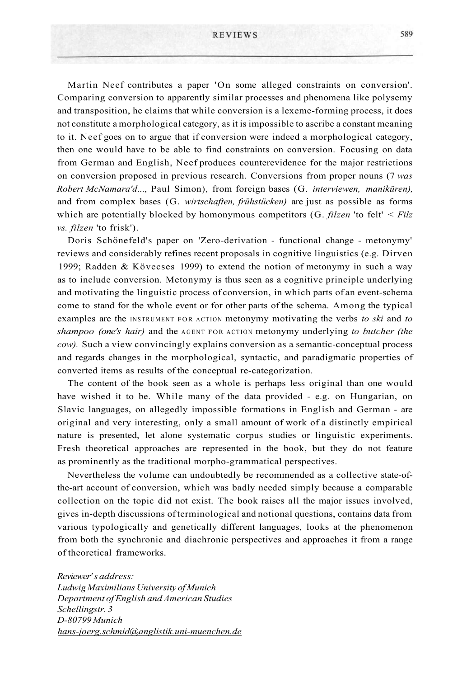Martin Neef contributes a paper 'On some alleged constraints on conversion'. Comparing conversion to apparently similar processes and phenomena like polysemy and transposition, he claims that while conversion is a lexeme-forming process, it does not constitute a morphological category, as it is impossible to ascribe a constant meaning to it. Neef goes on to argue that if conversion were indeed a morphological category, then one would have to be able to find constraints on conversion. Focusing on data from German and English, Neef produces counterevidence for the major restrictions on conversion proposed in previous research. Conversions from proper nouns (7 *was Robert McNamara'd*..., Paul Simon), from foreign bases (G. *interviewen, maniküren),*  and from complex bases (G. *wirtschaften, frühstücken)* are just as possible as forms which are potentially blocked by homonymous competitors (G. *filzen* 'to felt' < *Filz vs. filzen* 'to frisk').

Doris Schönefeld's paper on 'Zero-derivation - functional change - metonymy' reviews and considerably refines recent proposals in cognitive linguistics (e.g. Dirven 1999; Radden & Kövecses 1999) to extend the notion of metonymy in such a way as to include conversion. Metonymy is thus seen as a cognitive principle underlying and motivating the linguistic process of conversion, in which parts of an event-schema come to stand for the whole event or for other parts of the schema. Among the typical examples are the INSTRUMENT FOR ACTION metonymy motivating the verbs to ski and to *shampoo (one's hair)* and the AGENT FOR ACTION metonymy underlying to butcher (the *cow).* Such a view convincingly explains conversion as a semantic-conceptual process and regards changes in the morphological, syntactic, and paradigmatic properties of converted items as results of the conceptual re-categorization.

The content of the book seen as a whole is perhaps less original than one would have wished it to be. While many of the data provided - e.g. on Hungarian, on Slavic languages, on allegedly impossible formations in English and German - are original and very interesting, only a small amount of work of a distinctly empirical nature is presented, let alone systematic corpus studies or linguistic experiments. Fresh theoretical approaches are represented in the book, but they do not feature as prominently as the traditional morpho-grammatical perspectives.

Nevertheless the volume can undoubtedly be recommended as a collective state-ofthe-art account of conversion, which was badly needed simply because a comparable collection on the topic did not exist. The book raises all the major issues involved, gives in-depth discussions of terminological and notional questions, contains data from various typologically and genetically different languages, looks at the phenomenon from both the synchronic and diachronic perspectives and approaches it from a range of theoretical frameworks.

*Reviewer' s address: Ludwig Maximilians University of Munich Department of English and American Studies Schellingstr. 3 D-80799 Munich [hans-joerg.schmid@anglistik.uni-muenche](mailto:hans-joerg.schmid@anglistik.uni-muenchen.de)n.de*